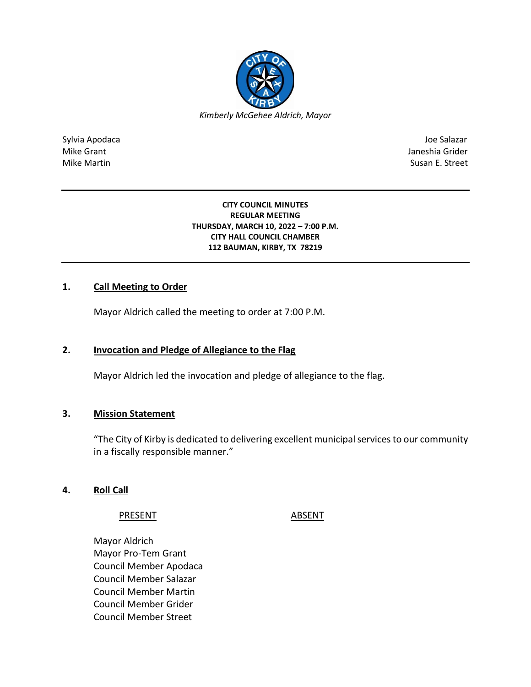

Sylvia Apodaca Joe Salazar Joe Salazar Joe Salazar Joe Salazar Joe Salazar Joe Salazar Joe Salazar Joe Salazar Mike Grant **Janeshia Grider** Mike Grant Janeshia Grider **Janeshia Grider** Mike Grant Janeshia Grider Mike Martin Susan E. Street

#### **CITY COUNCIL MINUTES REGULAR MEETING THURSDAY, MARCH 10, 2022 – 7:00 P.M. CITY HALL COUNCIL CHAMBER 112 BAUMAN, KIRBY, TX 78219**

## **1. Call Meeting to Order**

Mayor Aldrich called the meeting to order at 7:00 P.M.

## **2. Invocation and Pledge of Allegiance to the Flag**

Mayor Aldrich led the invocation and pledge of allegiance to the flag.

## **3. Mission Statement**

"The City of Kirby is dedicated to delivering excellent municipal services to our community in a fiscally responsible manner."

## **4. Roll Call**

PRESENT ABSENT

Mayor Aldrich Mayor Pro-Tem Grant Council Member Apodaca Council Member Salazar Council Member Martin Council Member Grider Council Member Street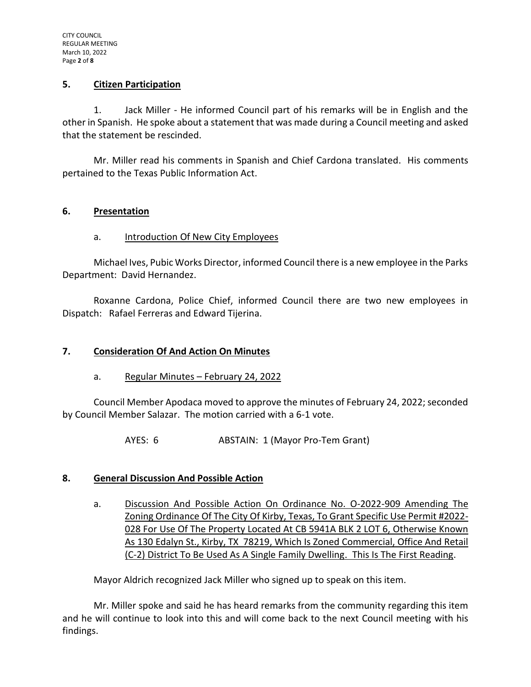## **5. Citizen Participation**

1. Jack Miller - He informed Council part of his remarks will be in English and the other in Spanish. He spoke about a statement that was made during a Council meeting and asked that the statement be rescinded.

Mr. Miller read his comments in Spanish and Chief Cardona translated. His comments pertained to the Texas Public Information Act.

## **6. Presentation**

## a. Introduction Of New City Employees

Michael Ives, Pubic Works Director, informed Council there is a new employee in the Parks Department: David Hernandez.

Roxanne Cardona, Police Chief, informed Council there are two new employees in Dispatch: Rafael Ferreras and Edward Tijerina.

#### **7. Consideration Of And Action On Minutes**

a. Regular Minutes - February 24, 2022

Council Member Apodaca moved to approve the minutes of February 24, 2022; seconded by Council Member Salazar. The motion carried with a 6-1 vote.

AYES: 6 ABSTAIN: 1 (Mayor Pro-Tem Grant)

## **8. General Discussion And Possible Action**

a. Discussion And Possible Action On Ordinance No. O-2022-909 Amending The Zoning Ordinance Of The City Of Kirby, Texas, To Grant Specific Use Permit #2022- 028 For Use Of The Property Located At CB 5941A BLK 2 LOT 6, Otherwise Known As 130 Edalyn St., Kirby, TX 78219, Which Is Zoned Commercial, Office And Retail (C-2) District To Be Used As A Single Family Dwelling. This Is The First Reading.

Mayor Aldrich recognized Jack Miller who signed up to speak on this item.

Mr. Miller spoke and said he has heard remarks from the community regarding this item and he will continue to look into this and will come back to the next Council meeting with his findings.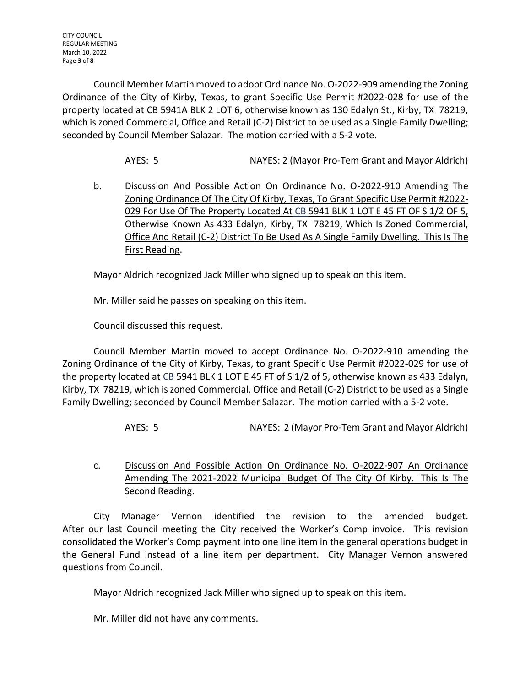Council Member Martin moved to adopt Ordinance No. O-2022-909 amending the Zoning Ordinance of the City of Kirby, Texas, to grant Specific Use Permit #2022-028 for use of the property located at CB 5941A BLK 2 LOT 6, otherwise known as 130 Edalyn St., Kirby, TX 78219, which is zoned Commercial, Office and Retail (C-2) District to be used as a Single Family Dwelling; seconded by Council Member Salazar. The motion carried with a 5-2 vote.

AYES: 5 NAYES: 2 (Mayor Pro-Tem Grant and Mayor Aldrich)

b. Discussion And Possible Action On Ordinance No. O-2022-910 Amending The Zoning Ordinance Of The City Of Kirby, Texas, To Grant Specific Use Permit #2022- 029 For Use Of The Property Located At CB 5941 BLK 1 LOT E 45 FT OF S 1/2 OF 5, Otherwise Known As 433 Edalyn, Kirby, TX 78219, Which Is Zoned Commercial, Office And Retail (C-2) District To Be Used As A Single Family Dwelling. This Is The First Reading.

Mayor Aldrich recognized Jack Miller who signed up to speak on this item.

Mr. Miller said he passes on speaking on this item.

Council discussed this request.

Council Member Martin moved to accept Ordinance No. O-2022-910 amending the Zoning Ordinance of the City of Kirby, Texas, to grant Specific Use Permit #2022-029 for use of the property located at CB 5941 BLK 1 LOT E 45 FT of S 1/2 of 5, otherwise known as 433 Edalyn, Kirby, TX 78219, which is zoned Commercial, Office and Retail (C-2) District to be used as a Single Family Dwelling; seconded by Council Member Salazar. The motion carried with a 5-2 vote.

AYES: 5 NAYES: 2 (Mayor Pro-Tem Grant and Mayor Aldrich)

c. Discussion And Possible Action On Ordinance No. O-2022-907 An Ordinance Amending The 2021-2022 Municipal Budget Of The City Of Kirby. This Is The Second Reading.

City Manager Vernon identified the revision to the amended budget. After our last Council meeting the City received the Worker's Comp invoice. This revision consolidated the Worker's Comp payment into one line item in the general operations budget in the General Fund instead of a line item per department. City Manager Vernon answered questions from Council.

Mayor Aldrich recognized Jack Miller who signed up to speak on this item.

Mr. Miller did not have any comments.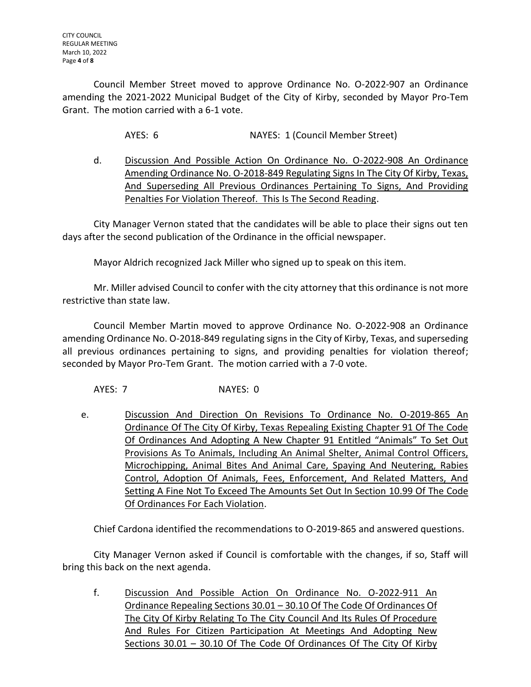Council Member Street moved to approve Ordinance No. O-2022-907 an Ordinance amending the 2021-2022 Municipal Budget of the City of Kirby, seconded by Mayor Pro-Tem Grant. The motion carried with a 6-1 vote.

AYES: 6 NAYES: 1 (Council Member Street)

d. Discussion And Possible Action On Ordinance No. O-2022-908 An Ordinance Amending Ordinance No. O-2018-849 Regulating Signs In The City Of Kirby, Texas, And Superseding All Previous Ordinances Pertaining To Signs, And Providing Penalties For Violation Thereof. This Is The Second Reading.

City Manager Vernon stated that the candidates will be able to place their signs out ten days after the second publication of the Ordinance in the official newspaper.

Mayor Aldrich recognized Jack Miller who signed up to speak on this item.

Mr. Miller advised Council to confer with the city attorney that this ordinance is not more restrictive than state law.

Council Member Martin moved to approve Ordinance No. O-2022-908 an Ordinance amending Ordinance No. O-2018-849 regulating signs in the City of Kirby, Texas, and superseding all previous ordinances pertaining to signs, and providing penalties for violation thereof; seconded by Mayor Pro-Tem Grant. The motion carried with a 7-0 vote.

AYES: 7 NAYES: 0

e. Discussion And Direction On Revisions To Ordinance No. O-2019-865 An Ordinance Of The City Of Kirby, Texas Repealing Existing Chapter 91 Of The Code Of Ordinances And Adopting A New Chapter 91 Entitled "Animals" To Set Out Provisions As To Animals, Including An Animal Shelter, Animal Control Officers, Microchipping, Animal Bites And Animal Care, Spaying And Neutering, Rabies Control, Adoption Of Animals, Fees, Enforcement, And Related Matters, And Setting A Fine Not To Exceed The Amounts Set Out In Section 10.99 Of The Code Of Ordinances For Each Violation.

Chief Cardona identified the recommendations to O-2019-865 and answered questions.

City Manager Vernon asked if Council is comfortable with the changes, if so, Staff will bring this back on the next agenda.

f. Discussion And Possible Action On Ordinance No. O-2022-911 An Ordinance Repealing Sections 30.01 – 30.10 Of The Code Of Ordinances Of The City Of Kirby Relating To The City Council And Its Rules Of Procedure And Rules For Citizen Participation At Meetings And Adopting New Sections 30.01 - 30.10 Of The Code Of Ordinances Of The City Of Kirby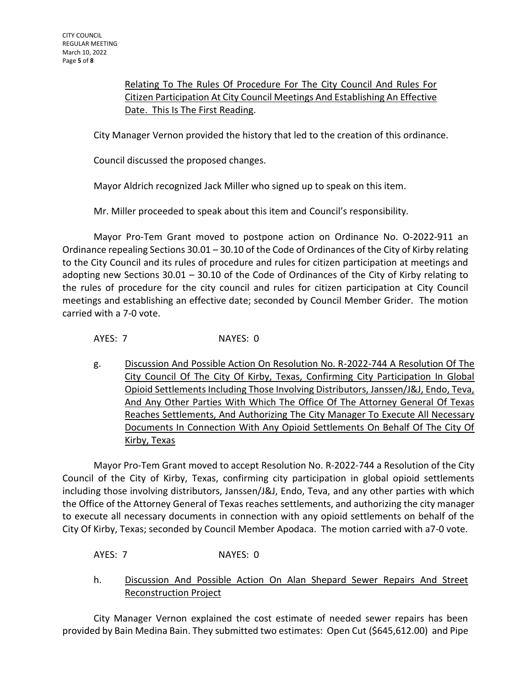Relating To The Rules Of Procedure For The City Council And Rules For Citizen Participation At City Council Meetings And Establishing An Effective Date. This Is The First Reading.

City Manager Vernon provided the history that led to the creation of this ordinance.

Council discussed the proposed changes.

Mayor Aldrich recognized Jack Miller who signed up to speak on this item.

Mr. Miller proceeded to speak about this item and Council's responsibility.

Mayor Pro-Tem Grant moved to postpone action on Ordinance No. O-2022-911 an Ordinance repealing Sections 30.01 – 30.10 of the Code of Ordinances of the City of Kirby relating to the City Council and its rules of procedure and rules for citizen participation at meetings and adopting new Sections 30.01 – 30.10 of the Code of Ordinances of the City of Kirby relating to the rules of procedure for the city council and rules for citizen participation at City Council meetings and establishing an effective date; seconded by Council Member Grider. The motion carried with a 7-0 vote.

AYES: 7 NAYES: 0

g. Discussion And Possible Action On Resolution No. R-2022-744 A Resolution Of The City Council Of The City Of Kirby, Texas, Confirming City Participation In Global Opioid Settlements Including Those Involving Distributors, Janssen/J&J, Endo, Teva, And Any Other Parties With Which The Office Of The Attorney General Of Texas Reaches Settlements, And Authorizing The City Manager To Execute All Necessary Documents In Connection With Any Opioid Settlements On Behalf Of The City Of Kirby, Texas

Mayor Pro-Tem Grant moved to accept Resolution No. R-2022-744 a Resolution of the City Council of the City of Kirby, Texas, confirming city participation in global opioid settlements including those involving distributors, Janssen/J&J, Endo, Teva, and any other parties with which the Office of the Attorney General of Texas reaches settlements, and authorizing the city manager to execute all necessary documents in connection with any opioid settlements on behalf of the City Of Kirby, Texas; seconded by Council Member Apodaca. The motion carried with a7-0 vote.

AYES: 7 NAYES: 0

h. Discussion And Possible Action On Alan Shepard Sewer Repairs And Street Reconstruction Project

City Manager Vernon explained the cost estimate of needed sewer repairs has been provided by Bain Medina Bain. They submitted two estimates: Open Cut (\$645,612.00) and Pipe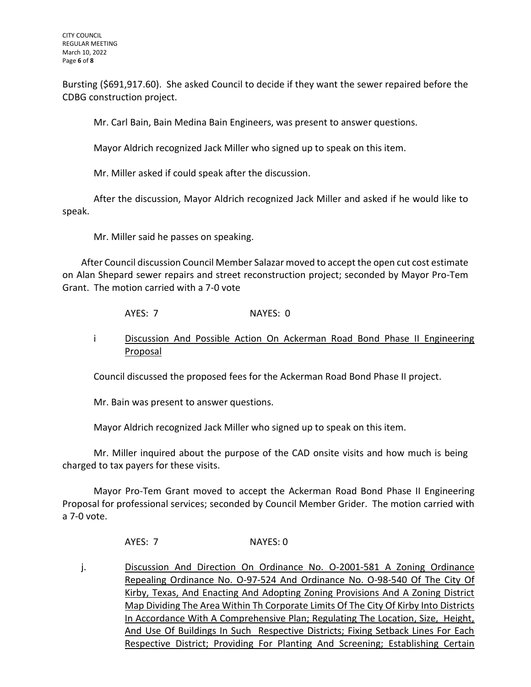Bursting (\$691,917.60). She asked Council to decide if they want the sewer repaired before the CDBG construction project.

Mr. Carl Bain, Bain Medina Bain Engineers, was present to answer questions.

Mayor Aldrich recognized Jack Miller who signed up to speak on this item.

Mr. Miller asked if could speak after the discussion.

After the discussion, Mayor Aldrich recognized Jack Miller and asked if he would like to speak.

Mr. Miller said he passes on speaking.

After Council discussion Council Member Salazar moved to accept the open cut cost estimate on Alan Shepard sewer repairs and street reconstruction project; seconded by Mayor Pro-Tem Grant. The motion carried with a 7-0 vote

AYES: 7 NAYES: 0

i Discussion And Possible Action On Ackerman Road Bond Phase II Engineering Proposal

Council discussed the proposed fees for the Ackerman Road Bond Phase II project.

Mr. Bain was present to answer questions.

Mayor Aldrich recognized Jack Miller who signed up to speak on this item.

Mr. Miller inquired about the purpose of the CAD onsite visits and how much is being charged to tax payers for these visits.

Mayor Pro-Tem Grant moved to accept the Ackerman Road Bond Phase II Engineering Proposal for professional services; seconded by Council Member Grider. The motion carried with a 7-0 vote.

AYES: 7 NAYES: 0

j. Discussion And Direction On Ordinance No. 0-2001-581 A Zoning Ordinance Repealing Ordinance No. O-97-524 And Ordinance No. O-98-540 Of The City Of Kirby, Texas, And Enacting And Adopting Zoning Provisions And A Zoning District Map Dividing The Area Within Th Corporate Limits Of The City Of Kirby Into Districts In Accordance With A Comprehensive Plan; Regulating The Location, Size, Height, And Use Of Buildings In Such Respective Districts; Fixing Setback Lines For Each Respective District; Providing For Planting And Screening; Establishing Certain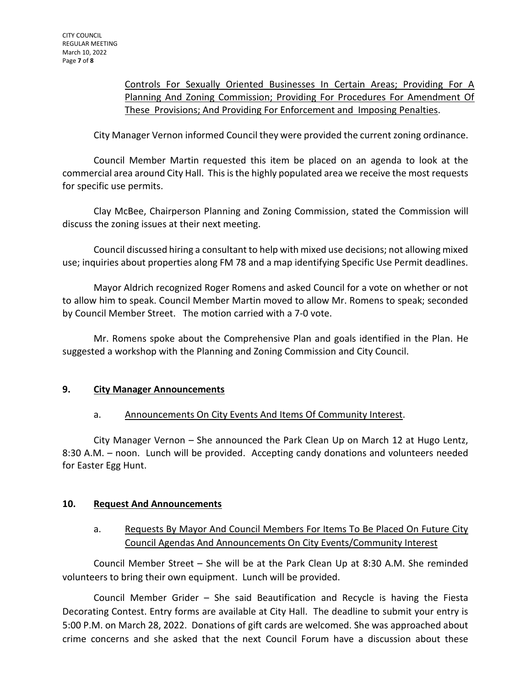## Controls For Sexually Oriented Businesses In Certain Areas; Providing For A Planning And Zoning Commission; Providing For Procedures For Amendment Of These Provisions; And Providing For Enforcement and Imposing Penalties.

City Manager Vernon informed Council they were provided the current zoning ordinance.

Council Member Martin requested this item be placed on an agenda to look at the commercial area around City Hall. This is the highly populated area we receive the most requests for specific use permits.

Clay McBee, Chairperson Planning and Zoning Commission, stated the Commission will discuss the zoning issues at their next meeting.

Council discussed hiring a consultant to help with mixed use decisions; not allowing mixed use; inquiries about properties along FM 78 and a map identifying Specific Use Permit deadlines.

Mayor Aldrich recognized Roger Romens and asked Council for a vote on whether or not to allow him to speak. Council Member Martin moved to allow Mr. Romens to speak; seconded by Council Member Street. The motion carried with a 7-0 vote.

Mr. Romens spoke about the Comprehensive Plan and goals identified in the Plan. He suggested a workshop with the Planning and Zoning Commission and City Council.

## **9. City Manager Announcements**

## a. Announcements On City Events And Items Of Community Interest.

City Manager Vernon – She announced the Park Clean Up on March 12 at Hugo Lentz, 8:30 A.M. – noon. Lunch will be provided. Accepting candy donations and volunteers needed for Easter Egg Hunt.

## **10. Request And Announcements**

# a. Requests By Mayor And Council Members For Items To Be Placed On Future City Council Agendas And Announcements On City Events/Community Interest

Council Member Street – She will be at the Park Clean Up at 8:30 A.M. She reminded volunteers to bring their own equipment. Lunch will be provided.

Council Member Grider – She said Beautification and Recycle is having the Fiesta Decorating Contest. Entry forms are available at City Hall. The deadline to submit your entry is 5:00 P.M. on March 28, 2022. Donations of gift cards are welcomed. She was approached about crime concerns and she asked that the next Council Forum have a discussion about these